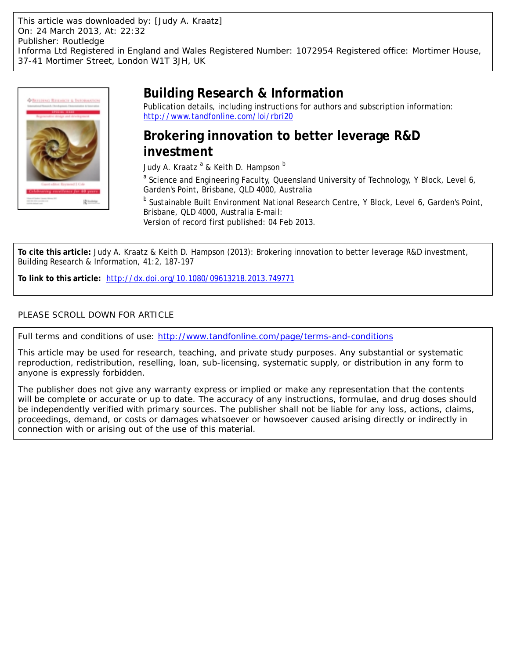

## **Building Research & Information**

Publication details, including instructions for authors and subscription information: <http://www.tandfonline.com/loi/rbri20>

## **Brokering innovation to better leverage R&D investment**

Judy A. Kraatz <sup>a</sup> & Keith D. Hampson <sup>b</sup>

<sup>a</sup> Science and Engineering Faculty, Queensland University of Technology, Y Block, Level 6, Garden's Point, Brisbane, QLD 4000, Australia

<sup>b</sup> Sustainable Built Environment National Research Centre, Y Block, Level 6, Garden's Point, Brisbane, QLD 4000, Australia E-mail:

Version of record first published: 04 Feb 2013.

**To cite this article:** Judy A. Kraatz & Keith D. Hampson (2013): Brokering innovation to better leverage R&D investment, Building Research & Information, 41:2, 187-197

**To link to this article:** <http://dx.doi.org/10.1080/09613218.2013.749771>

### PLEASE SCROLL DOWN FOR ARTICLE

Full terms and conditions of use:<http://www.tandfonline.com/page/terms-and-conditions>

This article may be used for research, teaching, and private study purposes. Any substantial or systematic reproduction, redistribution, reselling, loan, sub-licensing, systematic supply, or distribution in any form to anyone is expressly forbidden.

The publisher does not give any warranty express or implied or make any representation that the contents will be complete or accurate or up to date. The accuracy of any instructions, formulae, and drug doses should be independently verified with primary sources. The publisher shall not be liable for any loss, actions, claims, proceedings, demand, or costs or damages whatsoever or howsoever caused arising directly or indirectly in connection with or arising out of the use of this material.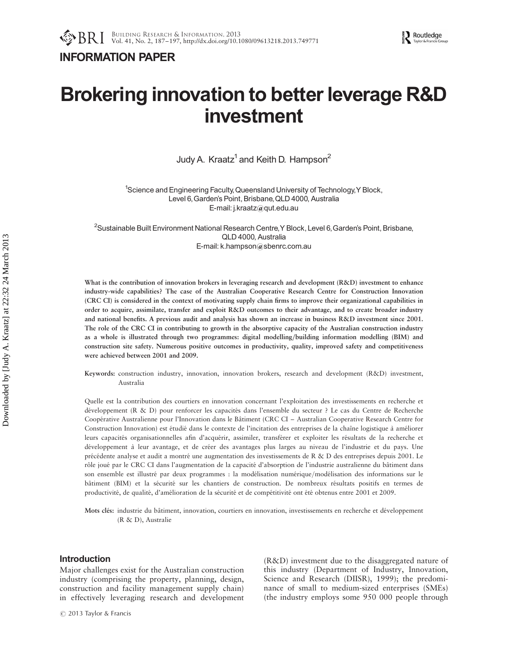INFORMATION PAPER

# Brokering innovation to better leverage R&D investment

Judy A. Kraatz<sup>1</sup> and Keith D. Hampson<sup>2</sup>

<sup>1</sup>Science and Engineering Faculty, Queensland University of Technology, Y Block, Level 6,Garden's Point, Brisbane,QLD 4000, Australia E-mail: j.kraatz@qut.edu.au

<sup>2</sup>Sustainable Built Environment National Research Centre, Y Block, Level 6, Garden's Point, Brisbane, QLD 4000, Australia E-mail: k.hampson@sbenrc.com.au

What is the contribution of innovation brokers in leveraging research and development (R&D) investment to enhance industry-wide capabilities? The case of the Australian Cooperative Research Centre for Construction Innovation (CRC CI) is considered in the context of motivating supply chain firms to improve their organizational capabilities in order to acquire, assimilate, transfer and exploit R&D outcomes to their advantage, and to create broader industry and national benefits. A previous audit and analysis has shown an increase in business R&D investment since 2001. The role of the CRC CI in contributing to growth in the absorptive capacity of the Australian construction industry as a whole is illustrated through two programmes: digital modelling/building information modelling (BIM) and construction site safety. Numerous positive outcomes in productivity, quality, improved safety and competitiveness were achieved between 2001 and 2009.

Keywords: construction industry, innovation, innovation brokers, research and development (R&D) investment, Australia

Quelle est la contribution des courtiers en innovation concernant l'exploitation des investissements en recherche et développement (R & D) pour renforcer les capacités dans l'ensemble du secteur ? Le cas du Centre de Recherche Coopérative Australienne pour l'Innovation dans le Bâtiment (CRC CI – Australian Cooperative Research Centre for Construction Innovation) est étudié dans le contexte de l'incitation des entreprises de la chaîne logistique à améliorer leurs capacités organisationnelles afin d'acquérir, assimiler, transférer et exploiter les résultats de la recherche et développement à leur avantage, et de créer des avantages plus larges au niveau de l'industrie et du pays. Une précédente analyse et audit a montré une augmentation des investissements de R & D des entreprises depuis 2001. Le rôle joué par le CRC CI dans l'augmentation de la capacité d'absorption de l'industrie australienne du bâtiment dans son ensemble est illustré par deux programmes : la modélisation numérique/modélisation des informations sur le bâtiment (BIM) et la sécurité sur les chantiers de construction. De nombreux résultats positifs en termes de productivité, de qualité, d'amélioration de la sécurité et de compétitivité ont été obtenus entre 2001 et 2009.

Mots clés: industrie du bâtiment, innovation, courtiers en innovation, investissements en recherche et développement (R & D), Australie

#### Introduction

Major challenges exist for the Australian construction industry (comprising the property, planning, design, construction and facility management supply chain) in effectively leveraging research and development (R&D) investment due to the disaggregated nature of this industry (Department of Industry, Innovation, Science and Research (DIISR), 1999); the predominance of small to medium-sized enterprises (SMEs) (the industry employs some 950 000 people through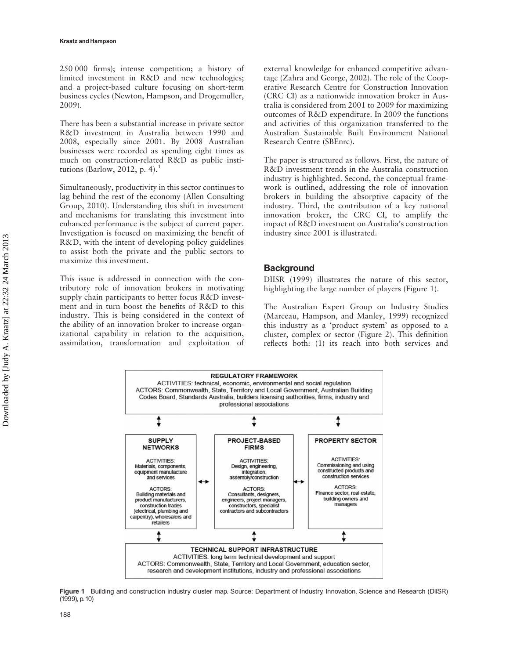250 000 firms); intense competition; a history of limited investment in R&D and new technologies; and a project-based culture focusing on short-term business cycles (Newton, Hampson, and Drogemuller, 2009).

There has been a substantial increase in private sector R&D investment in Australia between 1990 and 2008, especially since 2001. By 2008 Australian businesses were recorded as spending eight times as much on construction-related R&D as public institutions (Barlow, 2012, p. 4).<sup>1</sup>

Simultaneously, productivity in this sector continues to lag behind the rest of the economy (Allen Consulting Group, 2010). Understanding this shift in investment and mechanisms for translating this investment into enhanced performance is the subject of current paper. Investigation is focused on maximizing the benefit of R&D, with the intent of developing policy guidelines to assist both the private and the public sectors to maximize this investment.

This issue is addressed in connection with the contributory role of innovation brokers in motivating supply chain participants to better focus R&D investment and in turn boost the benefits of R&D to this industry. This is being considered in the context of the ability of an innovation broker to increase organizational capability in relation to the acquisition, assimilation, transformation and exploitation of external knowledge for enhanced competitive advantage (Zahra and George, 2002). The role of the Cooperative Research Centre for Construction Innovation (CRC CI) as a nationwide innovation broker in Australia is considered from 2001 to 2009 for maximizing outcomes of R&D expenditure. In 2009 the functions and activities of this organization transferred to the Australian Sustainable Built Environment National Research Centre (SBEnrc).

The paper is structured as follows. First, the nature of R&D investment trends in the Australia construction industry is highlighted. Second, the conceptual framework is outlined, addressing the role of innovation brokers in building the absorptive capacity of the industry. Third, the contribution of a key national innovation broker, the CRC CI, to amplify the impact of R&D investment on Australia's construction industry since 2001 is illustrated.

#### **Background**

DIISR (1999) illustrates the nature of this sector, highlighting the large number of players (Figure 1).

The Australian Expert Group on Industry Studies (Marceau, Hampson, and Manley, 1999) recognized this industry as a 'product system' as opposed to a cluster, complex or sector (Figure 2). This definition reflects both: (1) its reach into both services and



Figure 1 Building and construction industry cluster map. Source: Department of Industry, Innovation, Science and Research (DIISR) (1999), p.10)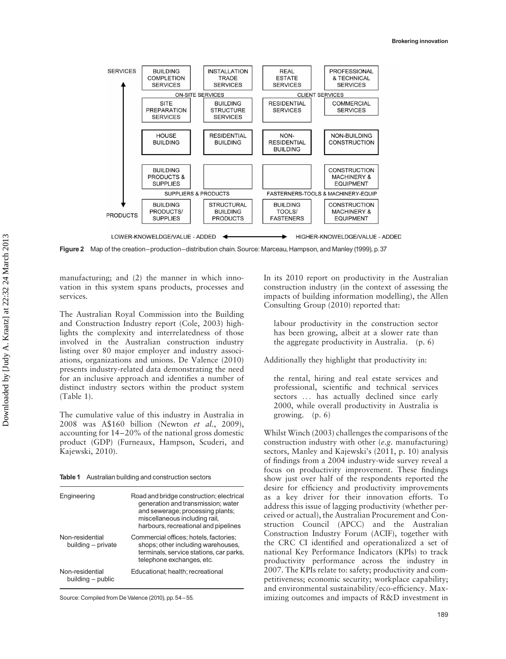

Figure 2 Map of the creation-production-distribution chain. Source: Marceau, Hampson, and Manley (1999), p. 37

manufacturing; and (2) the manner in which innovation in this system spans products, processes and services.

The Australian Royal Commission into the Building and Construction Industry report (Cole, 2003) highlights the complexity and interrelatedness of those involved in the Australian construction industry listing over 80 major employer and industry associations, organizations and unions. De Valence (2010) presents industry-related data demonstrating the need for an inclusive approach and identifies a number of distinct industry sectors within the product system (Table 1).

The cumulative value of this industry in Australia in 2008 was A\$160 billion (Newton et al., 2009), accounting for 14–20% of the national gross domestic product (GDP) (Furneaux, Hampson, Scuderi, and Kajewski, 2010).

| Engineering                           | Road and bridge construction; electrical<br>generation and transmission; water<br>and sewerage; processing plants;<br>miscellaneous including rail,<br>harbours, recreational and pipelines |
|---------------------------------------|---------------------------------------------------------------------------------------------------------------------------------------------------------------------------------------------|
| Non-residential<br>building - private | Commercial offices; hotels, factories;<br>shops; other including warehouses,<br>terminals, service stations, car parks,<br>telephone exchanges, etc.                                        |
| Non-residential<br>building - public  | Educational; health; recreational                                                                                                                                                           |

Source: Compiled from De Valence (2010), pp. 54-55.

In its 2010 report on productivity in the Australian construction industry (in the context of assessing the impacts of building information modelling), the Allen Consulting Group (2010) reported that:

labour productivity in the construction sector has been growing, albeit at a slower rate than the aggregate productivity in Australia. (p. 6)

Additionally they highlight that productivity in:

the rental, hiring and real estate services and professional, scientific and technical services sectors ... has actually declined since early 2000, while overall productivity in Australia is growing. (p. 6)

Whilst Winch (2003) challenges the comparisons of the construction industry with other (e.g. manufacturing) sectors, Manley and Kajewski's (2011, p. 10) analysis of findings from a 2004 industry-wide survey reveal a focus on productivity improvement. These findings show just over half of the respondents reported the desire for efficiency and productivity improvements as a key driver for their innovation efforts. To address this issue of lagging productivity (whether perceived or actual), the Australian Procurement and Construction Council (APCC) and the Australian Construction Industry Forum (ACIF), together with the CRC CI identified and operationalized a set of national Key Performance Indicators (KPIs) to track productivity performance across the industry in 2007. The KPIs relate to: safety; productivity and competitiveness; economic security; workplace capability; and environmental sustainability/eco-efficiency. Maximizing outcomes and impacts of R&D investment in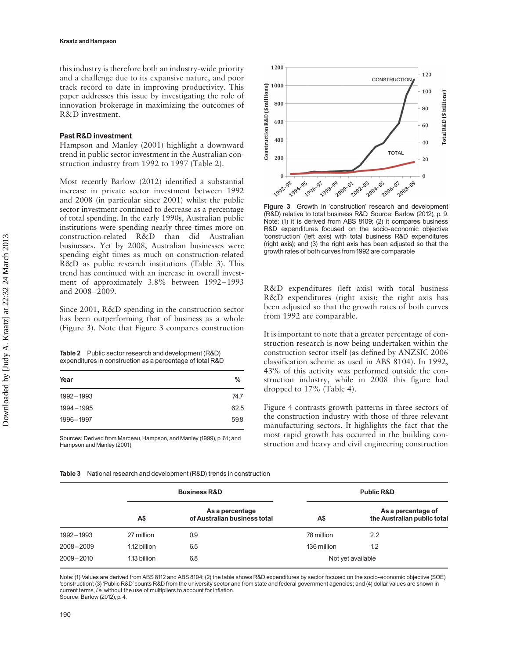this industry is therefore both an industry-wide priority and a challenge due to its expansive nature, and poor track record to date in improving productivity. This paper addresses this issue by investigating the role of innovation brokerage in maximizing the outcomes of R&D investment.

#### Past R&D investment

Hampson and Manley (2001) highlight a downward trend in public sector investment in the Australian construction industry from 1992 to 1997 (Table 2).

Most recently Barlow (2012) identified a substantial increase in private sector investment between 1992 and 2008 (in particular since 2001) whilst the public sector investment continued to decrease as a percentage of total spending. In the early 1990s, Australian public institutions were spending nearly three times more on construction-related R&D than did Australian businesses. Yet by 2008, Australian businesses were spending eight times as much on construction-related R&D as public research institutions (Table 3). This trend has continued with an increase in overall investment of approximately 3.8% between 1992–1993 and 2008–2009.

Since 2001, R&D spending in the construction sector has been outperforming that of business as a whole (Figure 3). Note that Figure 3 compares construction

Table 2 Public sector research and development (R&D) expenditures in construction as a percentage of total R&D

| Year      | $\%$ |
|-----------|------|
| 1992-1993 | 74.7 |
| 1994-1995 | 62.5 |
| 1996-1997 | 59.8 |
|           |      |

Sources: Derived from Marceau, Hampson, and Manley (1999), p. 61; and Hampson and Manley (2001)



Figure 3 Growth in 'construction' research and development (R&D) relative to total business R&D. Source: Barlow (2012), p. 9. Note: (1) it is derived from ABS 8109; (2) it compares business R&D expenditures focused on the socio-economic objective 'construction' (left axis) with total business R&D expenditures (right axis); and (3) the right axis has been adjusted so that the growth rates of both curves from 1992 are comparable

R&D expenditures (left axis) with total business R&D expenditures (right axis); the right axis has been adjusted so that the growth rates of both curves from 1992 are comparable.

It is important to note that a greater percentage of construction research is now being undertaken within the construction sector itself (as defined by ANZSIC 2006 classification scheme as used in ABS 8104). In 1992, 43% of this activity was performed outside the construction industry, while in 2008 this figure had dropped to 17% (Table 4).

Figure 4 contrasts growth patterns in three sectors of the construction industry with those of three relevant manufacturing sectors. It highlights the fact that the most rapid growth has occurred in the building construction and heavy and civil engineering construction

|  | Table 3 National research and development (R&D) trends in construction |  |  |
|--|------------------------------------------------------------------------|--|--|
|--|------------------------------------------------------------------------|--|--|

|               | <b>Business R&amp;D</b> |                                                 | <b>Public R&amp;D</b> |                                                   |
|---------------|-------------------------|-------------------------------------------------|-----------------------|---------------------------------------------------|
|               | A\$                     | As a percentage<br>of Australian business total | A\$                   | As a percentage of<br>the Australian public total |
| 1992-1993     | 27 million              | 0.9                                             | 78 million            | 2.2                                               |
| 2008-2009     | 1.12 billion            | 6.5                                             | 136 million           | 1.2                                               |
| $2009 - 2010$ | 1.13 billion            | 6.8                                             | Not yet available     |                                                   |

Note: (1) Values are derived from ABS 8112 and ABS 8104; (2) the table shows R&D expenditures by sector focused on the socio-economic objective (SOE) 'construction'; (3) 'Public R&D' counts R&D from the university sector and from state and federal government agencies; and (4) dollar values are shown in current terms, i.e. without the use of multipliers to account for inflation. Source: Barlow (2012), p. 4.

Downloaded by [Judy A. Kraatz] at 22:32 24 March 2013 Downloaded by [Judy A. Kraatz] at 22:32 24 March 2013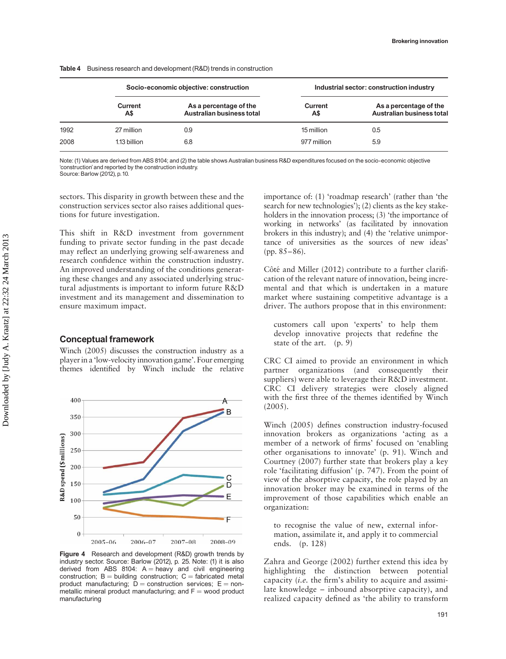|      | Socio-economic objective: construction |                                                     | Industrial sector: construction industry |                                                     |
|------|----------------------------------------|-----------------------------------------------------|------------------------------------------|-----------------------------------------------------|
|      | Current<br>A\$                         | As a percentage of the<br>Australian business total | Current<br>A\$                           | As a percentage of the<br>Australian business total |
| 1992 | 27 million                             | 0.9                                                 | 15 million                               | 0.5                                                 |
| 2008 | 1.13 billion                           | 6.8                                                 | 977 million                              | 5.9                                                 |

Table 4 Business research and development (R&D) trends in construction

Note: (1) Values are derived from ABS 8104; and (2) the table shows Australian business R&D expenditures focused on the socio-economic objective 'construction' and reported by the construction industry.

Source: Barlow (2012), p.10.

sectors. This disparity in growth between these and the construction services sector also raises additional questions for future investigation.

This shift in R&D investment from government funding to private sector funding in the past decade may reflect an underlying growing self-awareness and research confidence within the construction industry. An improved understanding of the conditions generating these changes and any associated underlying structural adjustments is important to inform future R&D investment and its management and dissemination to ensure maximum impact.

#### Conceptual framework

Winch (2005) discusses the construction industry as a player in a 'low-velocity innovation game'. Four emerging themes identified by Winch include the relative



Figure 4 Research and development (R&D) growth trends by industry sector. Source: Barlow (2012), p. 25. Note: (1) it is also derived from ABS 8104:  $A =$  heavy and civil engineering construction;  $B =$  building construction;  $C =$  fabricated metal product manufacturing;  $\bar{D} =$  construction services;  $E =$  nonmetallic mineral product manufacturing; and  $F =$  wood product manufacturing

importance of: (1) 'roadmap research' (rather than 'the search for new technologies'); (2) clients as the key stakeholders in the innovation process; (3) 'the importance of working in networks' (as facilitated by innovation brokers in this industry); and (4) the 'relative unimportance of universities as the sources of new ideas' (pp. 85–86).

Côté and Miller (2012) contribute to a further clarification of the relevant nature of innovation, being incremental and that which is undertaken in a mature market where sustaining competitive advantage is a driver. The authors propose that in this environment:

customers call upon 'experts' to help them develop innovative projects that redefine the state of the art. (p. 9)

CRC CI aimed to provide an environment in which partner organizations (and consequently their suppliers) were able to leverage their R&D investment. CRC CI delivery strategies were closely aligned with the first three of the themes identified by Winch (2005).

Winch (2005) defines construction industry-focused innovation brokers as organizations 'acting as a member of a network of firms' focused on 'enabling other organisations to innovate' (p. 91). Winch and Courtney (2007) further state that brokers play a key role 'facilitating diffusion' (p. 747). From the point of view of the absorptive capacity, the role played by an innovation broker may be examined in terms of the improvement of those capabilities which enable an organization:

to recognise the value of new, external information, assimilate it, and apply it to commercial ends. (p. 128)

Zahra and George (2002) further extend this idea by highlighting the distinction between potential capacity (i.e. the firm's ability to acquire and assimilate knowledge – inbound absorptive capacity), and realized capacity defined as 'the ability to transform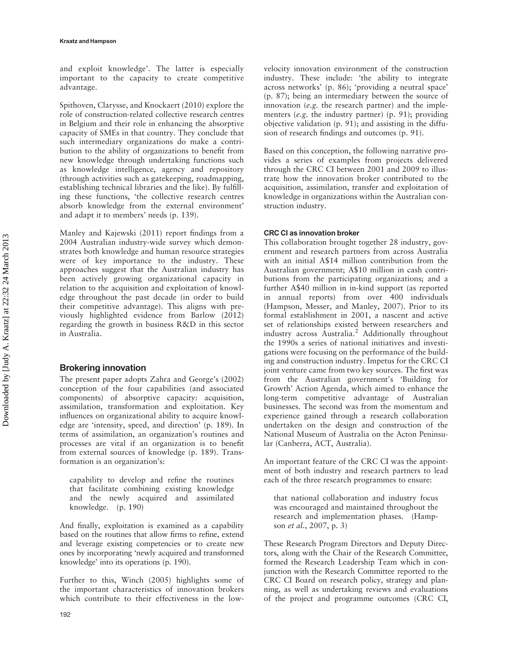and exploit knowledge'. The latter is especially important to the capacity to create competitive advantage.

Spithoven, Clarysse, and Knockaert (2010) explore the role of construction-related collective research centres in Belgium and their role in enhancing the absorptive capacity of SMEs in that country. They conclude that such intermediary organizations do make a contribution to the ability of organizations to benefit from new knowledge through undertaking functions such as knowledge intelligence, agency and repository (through activities such as gatekeeping, roadmapping, establishing technical libraries and the like). By fulfilling these functions, 'the collective research centres absorb knowledge from the external environment' and adapt it to members' needs (p. 139).

Manley and Kajewski (2011) report findings from a 2004 Australian industry-wide survey which demonstrates both knowledge and human resource strategies were of key importance to the industry. These approaches suggest that the Australian industry has been actively growing organizational capacity in relation to the acquisition and exploitation of knowledge throughout the past decade (in order to build their competitive advantage). This aligns with previously highlighted evidence from Barlow (2012) regarding the growth in business R&D in this sector in Australia.

#### Brokering innovation

The present paper adopts Zahra and George's (2002) conception of the four capabilities (and associated components) of absorptive capacity: acquisition, assimilation, transformation and exploitation. Key influences on organizational ability to acquire knowledge are 'intensity, speed, and direction' (p. 189). In terms of assimilation, an organization's routines and processes are vital if an organization is to benefit from external sources of knowledge (p. 189). Transformation is an organization's:

capability to develop and refine the routines that facilitate combining existing knowledge and the newly acquired and assimilated knowledge. (p. 190)

And finally, exploitation is examined as a capability based on the routines that allow firms to refine, extend and leverage existing competencies or to create new ones by incorporating 'newly acquired and transformed knowledge' into its operations (p. 190).

Further to this, Winch (2005) highlights some of the important characteristics of innovation brokers which contribute to their effectiveness in the lowvelocity innovation environment of the construction industry. These include: 'the ability to integrate across networks' (p. 86); 'providing a neutral space' (p. 87); being an intermediary between the source of innovation (e.g. the research partner) and the implementers (e.g. the industry partner) (p. 91); providing objective validation (p. 91); and assisting in the diffusion of research findings and outcomes (p. 91).

Based on this conception, the following narrative provides a series of examples from projects delivered through the CRC CI between 2001 and 2009 to illustrate how the innovation broker contributed to the acquisition, assimilation, transfer and exploitation of knowledge in organizations within the Australian construction industry.

#### CRC CI as innovation broker

This collaboration brought together 28 industry, government and research partners from across Australia with an initial A\$14 million contribution from the Australian government; A\$10 million in cash contributions from the participating organizations; and a further A\$40 million in in-kind support (as reported in annual reports) from over 400 individuals (Hampson, Messer, and Manley, 2007). Prior to its formal establishment in 2001, a nascent and active set of relationships existed between researchers and industry across Australia.<sup>2</sup> Additionally throughout the 1990s a series of national initiatives and investigations were focusing on the performance of the building and construction industry. Impetus for the CRC CI joint venture came from two key sources. The first was from the Australian government's 'Building for Growth' Action Agenda, which aimed to enhance the long-term competitive advantage of Australian businesses. The second was from the momentum and experience gained through a research collaboration undertaken on the design and construction of the National Museum of Australia on the Acton Peninsular (Canberra, ACT, Australia).

An important feature of the CRC CI was the appointment of both industry and research partners to lead each of the three research programmes to ensure:

that national collaboration and industry focus was encouraged and maintained throughout the research and implementation phases. (Hampson et al., 2007, p. 3)

These Research Program Directors and Deputy Directors, along with the Chair of the Research Committee, formed the Research Leadership Team which in conjunction with the Research Committee reported to the CRC CI Board on research policy, strategy and planning, as well as undertaking reviews and evaluations of the project and programme outcomes (CRC CI,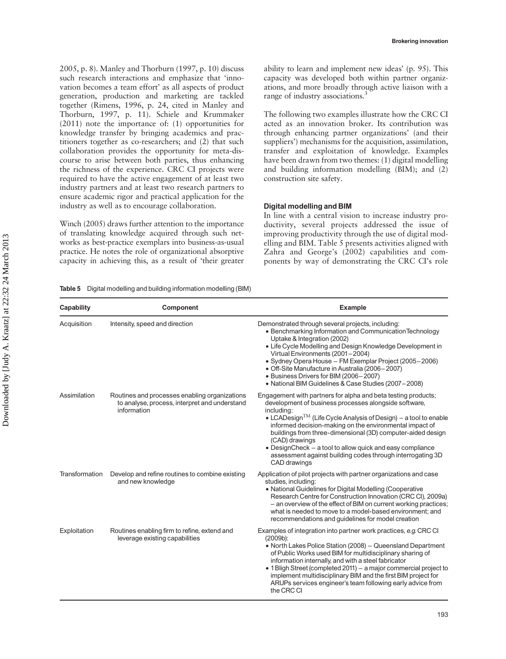2005, p. 8). Manley and Thorburn (1997, p. 10) discuss such research interactions and emphasize that 'innovation becomes a team effort' as all aspects of product generation, production and marketing are tackled together (Rimens, 1996, p. 24, cited in Manley and Thorburn, 1997, p. 11). Schiele and Krummaker (2011) note the importance of: (1) opportunities for knowledge transfer by bringing academics and practitioners together as co-researchers; and (2) that such collaboration provides the opportunity for meta-discourse to arise between both parties, thus enhancing the richness of the experience. CRC CI projects were required to have the active engagement of at least two industry partners and at least two research partners to ensure academic rigor and practical application for the industry as well as to encourage collaboration.

Winch (2005) draws further attention to the importance of translating knowledge acquired through such networks as best-practice exemplars into business-as-usual practice. He notes the role of organizational absorptive capacity in achieving this, as a result of 'their greater ability to learn and implement new ideas' (p. 95). This capacity was developed both within partner organizations, and more broadly through active liaison with a range of industry associations.<sup>3</sup>

The following two examples illustrate how the CRC CI acted as an innovation broker. Its contribution was through enhancing partner organizations' (and their suppliers') mechanisms for the acquisition, assimilation, transfer and exploitation of knowledge. Examples have been drawn from two themes: (1) digital modelling and building information modelling (BIM); and (2) construction site safety.

#### Digital modelling and BIM

In line with a central vision to increase industry productivity, several projects addressed the issue of improving productivity through the use of digital modelling and BIM. Table 5 presents activities aligned with Zahra and George's (2002) capabilities and components by way of demonstrating the CRC CI's role

Table 5 Digital modelling and building information modelling (BIM)

| Capability     | Component                                                                                                     | <b>Example</b>                                                                                                                                                                                                                                                                                                                                                                                                                                                                                              |
|----------------|---------------------------------------------------------------------------------------------------------------|-------------------------------------------------------------------------------------------------------------------------------------------------------------------------------------------------------------------------------------------------------------------------------------------------------------------------------------------------------------------------------------------------------------------------------------------------------------------------------------------------------------|
| Acquisition    | Intensity, speed and direction                                                                                | Demonstrated through several projects, including:<br>• Benchmarking Information and Communication Technology<br>Uptake & Integration (2002)<br>• Life Cycle Modelling and Design Knowledge Development in<br>Virtual Environments (2001-2004)<br>• Sydney Opera House - FM Exemplar Project (2005-2006)<br>· Off-Site Manufacture in Australia (2006-2007)<br>· Business Drivers for BIM (2006-2007)<br>• National BIM Guidelines & Case Studies (2007-2008)                                                |
| Assimilation   | Routines and processes enabling organizations<br>to analyse, process, interpret and understand<br>information | Engagement with partners for alpha and beta testing products;<br>development of business processes alongside software,<br>including:<br>• LCADesign <sup>TM</sup> (Life Cycle Analysis of Design) – a tool to enable<br>informed decision-making on the environmental impact of<br>buildings from three-dimensional (3D) computer-aided design<br>(CAD) drawings<br>• DesignCheck – a tool to allow quick and easy compliance<br>assessment against building codes through interrogating 3D<br>CAD drawings |
| Transformation | Develop and refine routines to combine existing<br>and new knowledge                                          | Application of pilot projects with partner organizations and case<br>studies, including:<br>• National Guidelines for Digital Modelling (Cooperative<br>Research Centre for Construction Innovation (CRC CI), 2009a)<br>- an overview of the effect of BIM on current working practices;<br>what is needed to move to a model-based environment; and<br>recommendations and guidelines for model creation                                                                                                   |
| Exploitation   | Routines enabling firm to refine, extend and<br>leverage existing capabilities                                | Examples of integration into partner work practices, e.g. CRC CI<br>$(2009b)$ :<br>• North Lakes Police Station (2008) - Queensland Department<br>of Public Works used BIM for multidisciplinary sharing of<br>information internally, and with a steel fabricator<br>• 1 Bligh Street (completed 2011) - a major commercial project to<br>implement multidisciplinary BIM and the first BIM project for<br>ARUPs services engineer's team following early advice from<br>the CRC CI                        |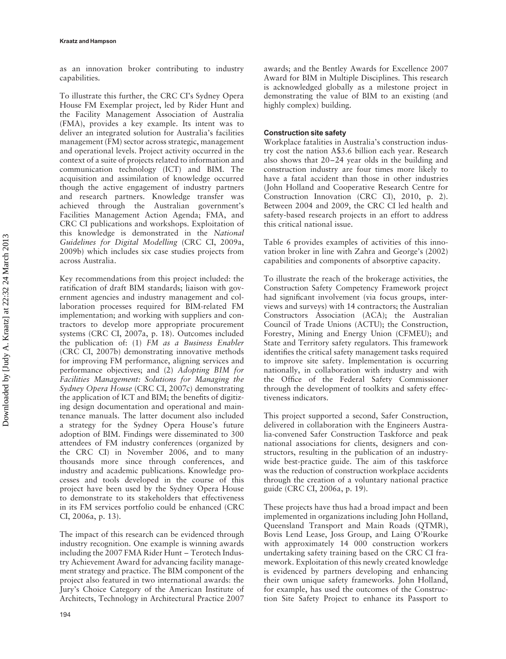as an innovation broker contributing to industry capabilities.

To illustrate this further, the CRC CI's Sydney Opera House FM Exemplar project, led by Rider Hunt and the Facility Management Association of Australia (FMA), provides a key example. Its intent was to deliver an integrated solution for Australia's facilities management (FM) sector across strategic, management and operational levels. Project activity occurred in the context of a suite of projects related to information and communication technology (ICT) and BIM. The acquisition and assimilation of knowledge occurred though the active engagement of industry partners and research partners. Knowledge transfer was achieved through the Australian government's Facilities Management Action Agenda; FMA, and CRC CI publications and workshops. Exploitation of this knowledge is demonstrated in the National Guidelines for Digital Modelling (CRC CI, 2009a, 2009b) which includes six case studies projects from across Australia.

Key recommendations from this project included: the ratification of draft BIM standards; liaison with government agencies and industry management and collaboration processes required for BIM-related FM implementation; and working with suppliers and contractors to develop more appropriate procurement systems (CRC CI, 2007a, p. 18). Outcomes included the publication of: (1) FM as a Business Enabler (CRC CI, 2007b) demonstrating innovative methods for improving FM performance, aligning services and performance objectives; and (2) Adopting BIM for Facilities Management: Solutions for Managing the Sydney Opera House (CRC CI, 2007c) demonstrating the application of ICT and BIM; the benefits of digitizing design documentation and operational and maintenance manuals. The latter document also included a strategy for the Sydney Opera House's future adoption of BIM. Findings were disseminated to 300 attendees of FM industry conferences (organized by the CRC CI) in November 2006, and to many thousands more since through conferences, and industry and academic publications. Knowledge processes and tools developed in the course of this project have been used by the Sydney Opera House to demonstrate to its stakeholders that effectiveness in its FM services portfolio could be enhanced (CRC CI, 2006a, p. 13).

The impact of this research can be evidenced through industry recognition. One example is winning awards including the 2007 FMA Rider Hunt – Terotech Industry Achievement Award for advancing facility management strategy and practice. The BIM component of the project also featured in two international awards: the Jury's Choice Category of the American Institute of Architects, Technology in Architectural Practice 2007 awards; and the Bentley Awards for Excellence 2007 Award for BIM in Multiple Disciplines. This research is acknowledged globally as a milestone project in demonstrating the value of BIM to an existing (and highly complex) building.

#### Construction site safety

Workplace fatalities in Australia's construction industry cost the nation A\$3.6 billion each year. Research also shows that 20–24 year olds in the building and construction industry are four times more likely to have a fatal accident than those in other industries (John Holland and Cooperative Research Centre for Construction Innovation (CRC CI), 2010, p. 2). Between 2004 and 2009, the CRC CI led health and safety-based research projects in an effort to address this critical national issue.

Table 6 provides examples of activities of this innovation broker in line with Zahra and George's (2002) capabilities and components of absorptive capacity.

To illustrate the reach of the brokerage activities, the Construction Safety Competency Framework project had significant involvement (via focus groups, interviews and surveys) with 14 contractors; the Australian Constructors Association (ACA); the Australian Council of Trade Unions (ACTU); the Construction, Forestry, Mining and Energy Union (CFMEU); and State and Territory safety regulators. This framework identifies the critical safety management tasks required to improve site safety. Implementation is occurring nationally, in collaboration with industry and with the Office of the Federal Safety Commissioner through the development of toolkits and safety effectiveness indicators.

This project supported a second, Safer Construction, delivered in collaboration with the Engineers Australia-convened Safer Construction Taskforce and peak national associations for clients, designers and constructors, resulting in the publication of an industrywide best-practice guide. The aim of this taskforce was the reduction of construction workplace accidents through the creation of a voluntary national practice guide (CRC CI, 2006a, p. 19).

These projects have thus had a broad impact and been implemented in organizations including John Holland, Queensland Transport and Main Roads (QTMR), Bovis Lend Lease, Joss Group, and Laing O'Rourke with approximately 14 000 construction workers undertaking safety training based on the CRC CI framework. Exploitation of this newly created knowledge is evidenced by partners developing and enhancing their own unique safety frameworks. John Holland, for example, has used the outcomes of the Construction Site Safety Project to enhance its Passport to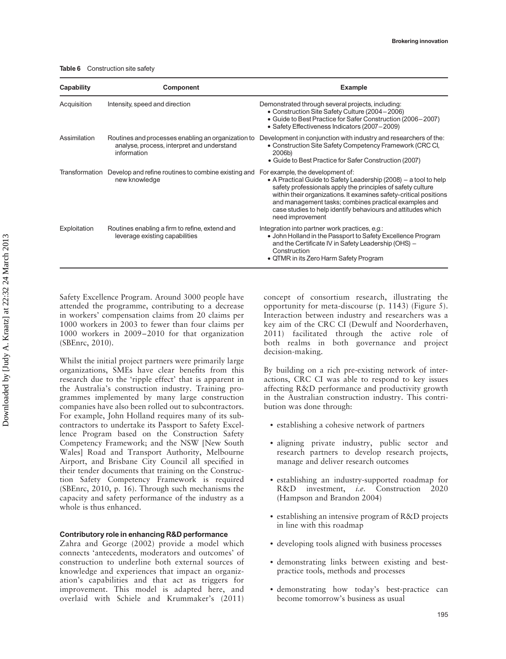| Capability   | Component                                                                                                       | <b>Example</b>                                                                                                                                                                                                                                                                                                                                                                        |
|--------------|-----------------------------------------------------------------------------------------------------------------|---------------------------------------------------------------------------------------------------------------------------------------------------------------------------------------------------------------------------------------------------------------------------------------------------------------------------------------------------------------------------------------|
| Acquisition  | Intensity, speed and direction                                                                                  | Demonstrated through several projects, including:<br>• Construction Site Safety Culture (2004-2006)<br>• Guide to Best Practice for Safer Construction (2006-2007)<br>• Safety Effectiveness Indicators (2007-2009)                                                                                                                                                                   |
| Assimilation | Routines and processes enabling an organization to<br>analyse, process, interpret and understand<br>information | Development in conjunction with industry and researchers of the:<br>• Construction Site Safety Competency Framework (CRC CI,<br>2006b)<br>• Guide to Best Practice for Safer Construction (2007)                                                                                                                                                                                      |
|              | Transformation Develop and refine routines to combine existing and<br>new knowledge                             | For example, the development of:<br>• A Practical Guide to Safety Leadership (2008) – a tool to help<br>safety professionals apply the principles of safety culture<br>within their organizations. It examines safety-critical positions<br>and management tasks; combines practical examples and<br>case studies to help identify behaviours and attitudes which<br>need improvement |
| Exploitation | Routines enabling a firm to refine, extend and<br>leverage existing capabilities                                | Integration into partner work practices, e.g.:<br>. John Holland in the Passport to Safety Excellence Program<br>and the Certificate IV in Safety Leadership (OHS) -<br>Construction<br>• QTMR in its Zero Harm Safety Program                                                                                                                                                        |

Safety Excellence Program. Around 3000 people have attended the programme, contributing to a decrease in workers' compensation claims from 20 claims per 1000 workers in 2003 to fewer than four claims per 1000 workers in 2009–2010 for that organization (SBEnrc, 2010).

Whilst the initial project partners were primarily large organizations, SMEs have clear benefits from this research due to the 'ripple effect' that is apparent in the Australia's construction industry. Training programmes implemented by many large construction companies have also been rolled out to subcontractors. For example, John Holland requires many of its subcontractors to undertake its Passport to Safety Excellence Program based on the Construction Safety Competency Framework; and the NSW [New South Wales] Road and Transport Authority, Melbourne Airport, and Brisbane City Council all specified in their tender documents that training on the Construction Safety Competency Framework is required (SBEnrc, 2010, p. 16). Through such mechanisms the capacity and safety performance of the industry as a whole is thus enhanced.

#### Contributory role in enhancing R&D performance

Zahra and George (2002) provide a model which connects 'antecedents, moderators and outcomes' of construction to underline both external sources of knowledge and experiences that impact an organization's capabilities and that act as triggers for improvement. This model is adapted here, and overlaid with Schiele and Krummaker's (2011) concept of consortium research, illustrating the opportunity for meta-discourse (p. 1143) (Figure 5). Interaction between industry and researchers was a key aim of the CRC CI (Dewulf and Noorderhaven, 2011) facilitated through the active role of both realms in both governance and project decision-making.

By building on a rich pre-existing network of interactions, CRC CI was able to respond to key issues affecting R&D performance and productivity growth in the Australian construction industry. This contribution was done through:

- . establishing a cohesive network of partners
- . aligning private industry, public sector and research partners to develop research projects, manage and deliver research outcomes
- . establishing an industry-supported roadmap for R&D investment, i.e. Construction 2020 (Hampson and Brandon 2004)
- . establishing an intensive program of R&D projects in line with this roadmap
- . developing tools aligned with business processes
- . demonstrating links between existing and bestpractice tools, methods and processes
- . demonstrating how today's best-practice can become tomorrow's business as usual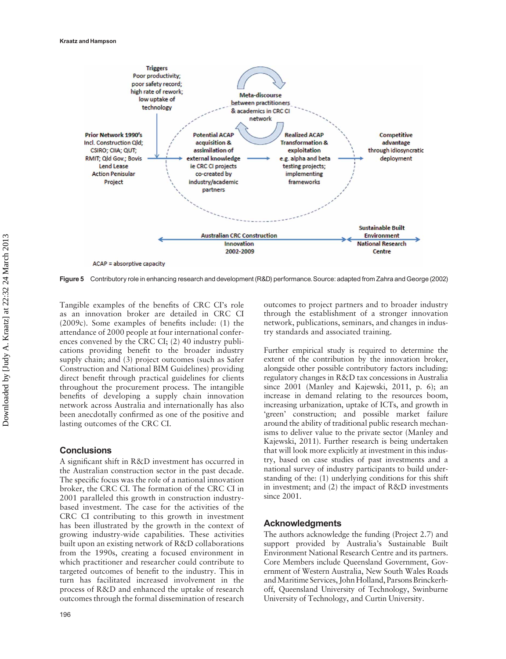

Figure 5 Contributory role in enhancing research and development (R&D) performance. Source: adapted from Zahra and George (2002)

Tangible examples of the benefits of CRC CI's role as an innovation broker are detailed in CRC CI (2009c). Some examples of benefits include: (1) the attendance of 2000 people at four international conferences convened by the CRC CI; (2) 40 industry publications providing benefit to the broader industry supply chain; and (3) project outcomes (such as Safer Construction and National BIM Guidelines) providing direct benefit through practical guidelines for clients throughout the procurement process. The intangible benefits of developing a supply chain innovation network across Australia and internationally has also been anecdotally confirmed as one of the positive and lasting outcomes of the CRC CI.

#### **Conclusions**

A significant shift in R&D investment has occurred in the Australian construction sector in the past decade. The specific focus was the role of a national innovation broker, the CRC CI. The formation of the CRC CI in 2001 paralleled this growth in construction industrybased investment. The case for the activities of the CRC CI contributing to this growth in investment has been illustrated by the growth in the context of growing industry-wide capabilities. These activities built upon an existing network of R&D collaborations from the 1990s, creating a focused environment in which practitioner and researcher could contribute to targeted outcomes of benefit to the industry. This in turn has facilitated increased involvement in the process of R&D and enhanced the uptake of research outcomes through the formal dissemination of research

Downloaded by [Judy A. Kraatz] at 22:32 24 March 2013 Downloaded by [Judy A. Kraatz] at 22:32 24 March 2013

outcomes to project partners and to broader industry through the establishment of a stronger innovation network, publications, seminars, and changes in industry standards and associated training.

Further empirical study is required to determine the extent of the contribution by the innovation broker, alongside other possible contributory factors including: regulatory changes in R&D tax concessions in Australia since 2001 (Manley and Kajewski, 2011, p. 6); an increase in demand relating to the resources boom, increasing urbanization, uptake of ICTs, and growth in 'green' construction; and possible market failure around the ability of traditional public research mechanisms to deliver value to the private sector (Manley and Kajewski, 2011). Further research is being undertaken that will look more explicitly at investment in this industry, based on case studies of past investments and a national survey of industry participants to build understanding of the: (1) underlying conditions for this shift in investment; and (2) the impact of R&D investments since 2001.

#### Acknowledgments

The authors acknowledge the funding (Project 2.7) and support provided by Australia's Sustainable Built Environment National Research Centre and its partners. Core Members include Queensland Government, Government of Western Australia, New South Wales Roads and Maritime Services, John Holland, Parsons Brinckerhoff, Queensland University of Technology, Swinburne University of Technology, and Curtin University.